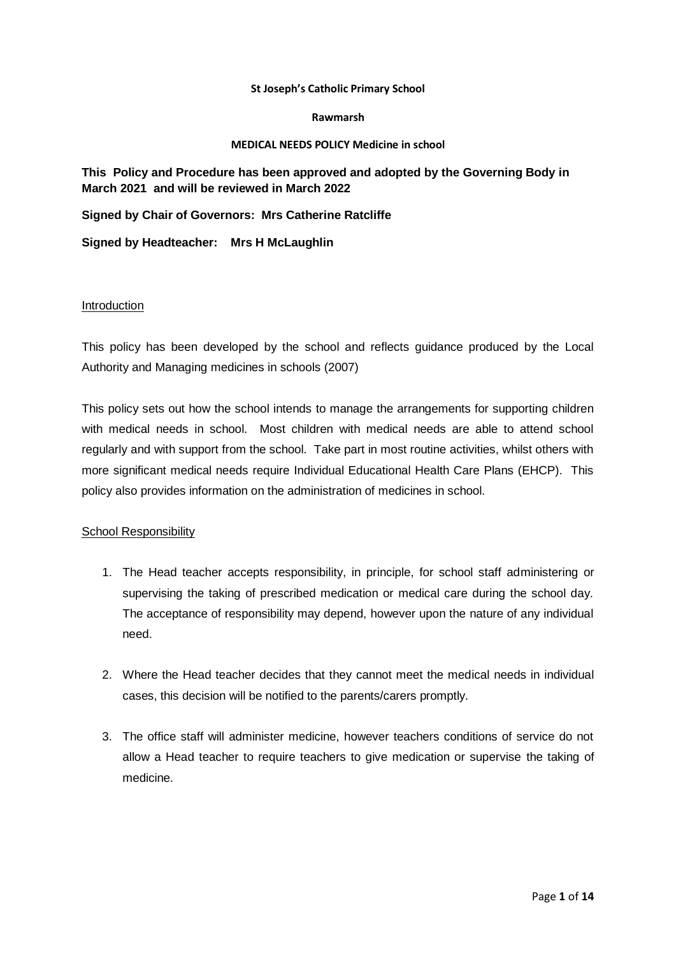#### **St Joseph's Catholic Primary School**

#### **Rawmarsh**

#### **MEDICAL NEEDS POLICY Medicine in school**

## **This Policy and Procedure has been approved and adopted by the Governing Body in March 2021 and will be reviewed in March 2022**

**Signed by Chair of Governors: Mrs Catherine Ratcliffe**

**Signed by Headteacher: Mrs H McLaughlin**

#### **Introduction**

This policy has been developed by the school and reflects guidance produced by the Local Authority and Managing medicines in schools (2007)

This policy sets out how the school intends to manage the arrangements for supporting children with medical needs in school. Most children with medical needs are able to attend school regularly and with support from the school. Take part in most routine activities, whilst others with more significant medical needs require Individual Educational Health Care Plans (EHCP). This policy also provides information on the administration of medicines in school.

#### School Responsibility

- 1. The Head teacher accepts responsibility, in principle, for school staff administering or supervising the taking of prescribed medication or medical care during the school day. The acceptance of responsibility may depend, however upon the nature of any individual need.
- 2. Where the Head teacher decides that they cannot meet the medical needs in individual cases, this decision will be notified to the parents/carers promptly.
- 3. The office staff will administer medicine, however teachers conditions of service do not allow a Head teacher to require teachers to give medication or supervise the taking of medicine.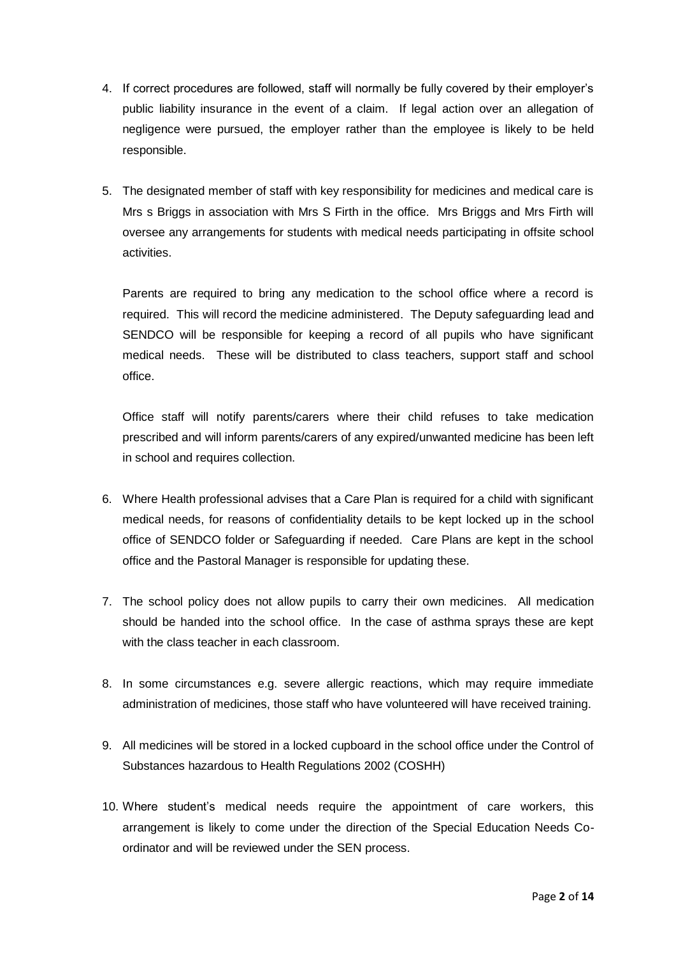- 4. If correct procedures are followed, staff will normally be fully covered by their employer's public liability insurance in the event of a claim. If legal action over an allegation of negligence were pursued, the employer rather than the employee is likely to be held responsible.
- 5. The designated member of staff with key responsibility for medicines and medical care is Mrs s Briggs in association with Mrs S Firth in the office. Mrs Briggs and Mrs Firth will oversee any arrangements for students with medical needs participating in offsite school activities.

Parents are required to bring any medication to the school office where a record is required. This will record the medicine administered. The Deputy safeguarding lead and SENDCO will be responsible for keeping a record of all pupils who have significant medical needs. These will be distributed to class teachers, support staff and school office.

Office staff will notify parents/carers where their child refuses to take medication prescribed and will inform parents/carers of any expired/unwanted medicine has been left in school and requires collection.

- 6. Where Health professional advises that a Care Plan is required for a child with significant medical needs, for reasons of confidentiality details to be kept locked up in the school office of SENDCO folder or Safeguarding if needed. Care Plans are kept in the school office and the Pastoral Manager is responsible for updating these.
- 7. The school policy does not allow pupils to carry their own medicines. All medication should be handed into the school office. In the case of asthma sprays these are kept with the class teacher in each classroom.
- 8. In some circumstances e.g. severe allergic reactions, which may require immediate administration of medicines, those staff who have volunteered will have received training.
- 9. All medicines will be stored in a locked cupboard in the school office under the Control of Substances hazardous to Health Regulations 2002 (COSHH)
- 10. Where student's medical needs require the appointment of care workers, this arrangement is likely to come under the direction of the Special Education Needs Coordinator and will be reviewed under the SEN process.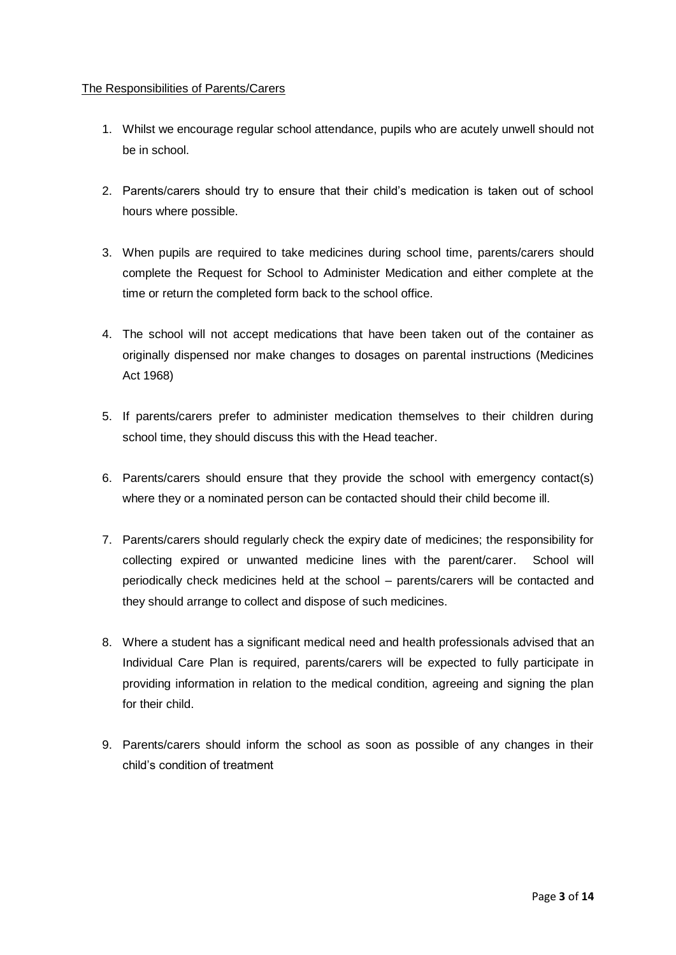### The Responsibilities of Parents/Carers

- 1. Whilst we encourage regular school attendance, pupils who are acutely unwell should not be in school.
- 2. Parents/carers should try to ensure that their child's medication is taken out of school hours where possible.
- 3. When pupils are required to take medicines during school time, parents/carers should complete the Request for School to Administer Medication and either complete at the time or return the completed form back to the school office.
- 4. The school will not accept medications that have been taken out of the container as originally dispensed nor make changes to dosages on parental instructions (Medicines Act 1968)
- 5. If parents/carers prefer to administer medication themselves to their children during school time, they should discuss this with the Head teacher.
- 6. Parents/carers should ensure that they provide the school with emergency contact(s) where they or a nominated person can be contacted should their child become ill.
- 7. Parents/carers should regularly check the expiry date of medicines; the responsibility for collecting expired or unwanted medicine lines with the parent/carer. School will periodically check medicines held at the school – parents/carers will be contacted and they should arrange to collect and dispose of such medicines.
- 8. Where a student has a significant medical need and health professionals advised that an Individual Care Plan is required, parents/carers will be expected to fully participate in providing information in relation to the medical condition, agreeing and signing the plan for their child.
- 9. Parents/carers should inform the school as soon as possible of any changes in their child's condition of treatment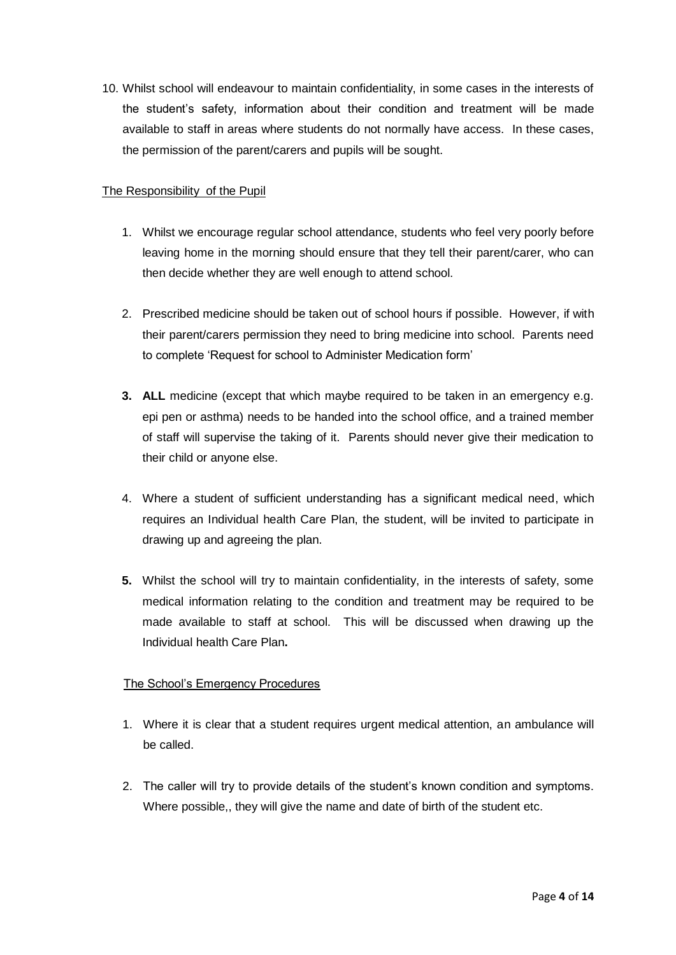10. Whilst school will endeavour to maintain confidentiality, in some cases in the interests of the student's safety, information about their condition and treatment will be made available to staff in areas where students do not normally have access. In these cases, the permission of the parent/carers and pupils will be sought.

## The Responsibility of the Pupil

- 1. Whilst we encourage regular school attendance, students who feel very poorly before leaving home in the morning should ensure that they tell their parent/carer, who can then decide whether they are well enough to attend school.
- 2. Prescribed medicine should be taken out of school hours if possible. However, if with their parent/carers permission they need to bring medicine into school. Parents need to complete 'Request for school to Administer Medication form'
- **3. ALL** medicine (except that which maybe required to be taken in an emergency e.g. epi pen or asthma) needs to be handed into the school office, and a trained member of staff will supervise the taking of it. Parents should never give their medication to their child or anyone else.
- 4. Where a student of sufficient understanding has a significant medical need, which requires an Individual health Care Plan, the student, will be invited to participate in drawing up and agreeing the plan.
- **5.** Whilst the school will try to maintain confidentiality, in the interests of safety, some medical information relating to the condition and treatment may be required to be made available to staff at school. This will be discussed when drawing up the Individual health Care Plan**.**

## The School's Emergency Procedures

- 1. Where it is clear that a student requires urgent medical attention, an ambulance will be called.
- 2. The caller will try to provide details of the student's known condition and symptoms. Where possible,, they will give the name and date of birth of the student etc.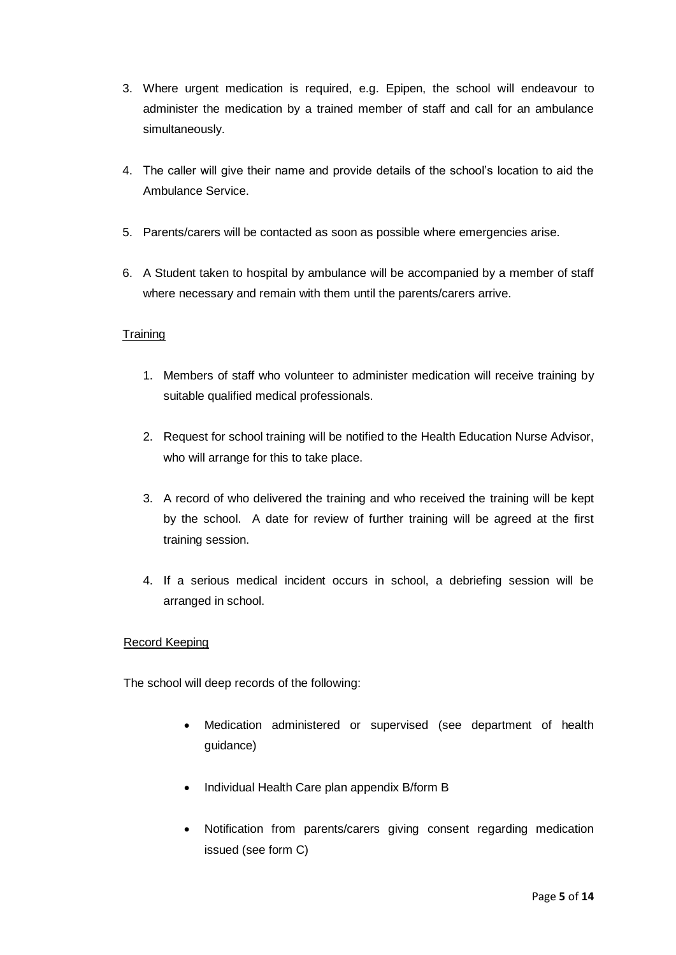- 3. Where urgent medication is required, e.g. Epipen, the school will endeavour to administer the medication by a trained member of staff and call for an ambulance simultaneously.
- 4. The caller will give their name and provide details of the school's location to aid the Ambulance Service.
- 5. Parents/carers will be contacted as soon as possible where emergencies arise.
- 6. A Student taken to hospital by ambulance will be accompanied by a member of staff where necessary and remain with them until the parents/carers arrive.

## **Training**

- 1. Members of staff who volunteer to administer medication will receive training by suitable qualified medical professionals.
- 2. Request for school training will be notified to the Health Education Nurse Advisor, who will arrange for this to take place.
- 3. A record of who delivered the training and who received the training will be kept by the school. A date for review of further training will be agreed at the first training session.
- 4. If a serious medical incident occurs in school, a debriefing session will be arranged in school.

#### Record Keeping

The school will deep records of the following:

- Medication administered or supervised (see department of health guidance)
- Individual Health Care plan appendix B/form B
- Notification from parents/carers giving consent regarding medication issued (see form C)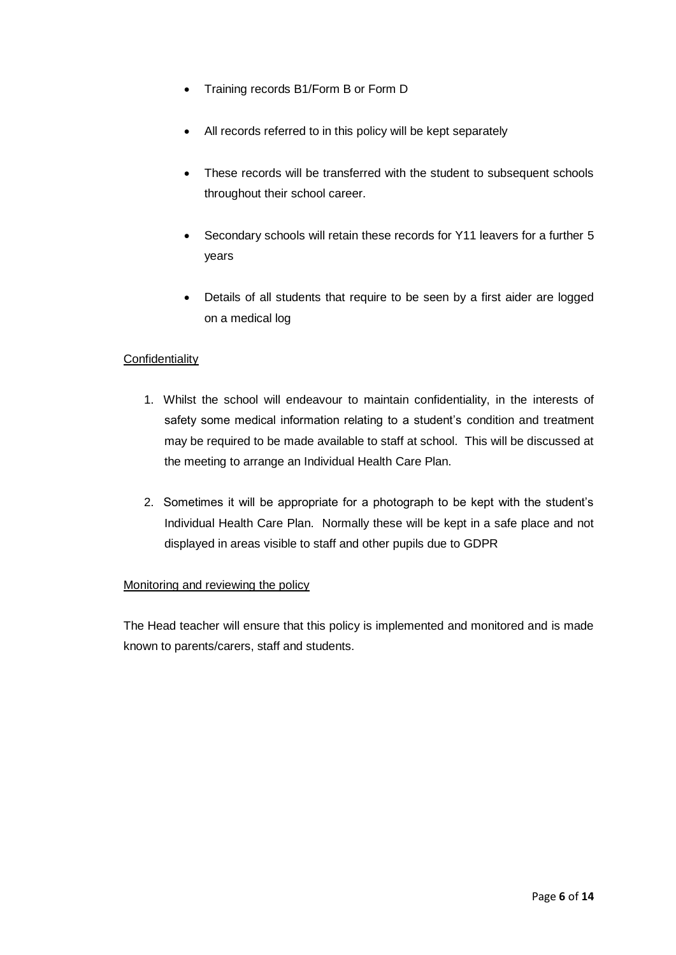- Training records B1/Form B or Form D
- All records referred to in this policy will be kept separately
- These records will be transferred with the student to subsequent schools throughout their school career.
- Secondary schools will retain these records for Y11 leavers for a further 5 years
- Details of all students that require to be seen by a first aider are logged on a medical log

## **Confidentiality**

- 1. Whilst the school will endeavour to maintain confidentiality, in the interests of safety some medical information relating to a student's condition and treatment may be required to be made available to staff at school. This will be discussed at the meeting to arrange an Individual Health Care Plan.
- 2. Sometimes it will be appropriate for a photograph to be kept with the student's Individual Health Care Plan. Normally these will be kept in a safe place and not displayed in areas visible to staff and other pupils due to GDPR

## Monitoring and reviewing the policy

The Head teacher will ensure that this policy is implemented and monitored and is made known to parents/carers, staff and students.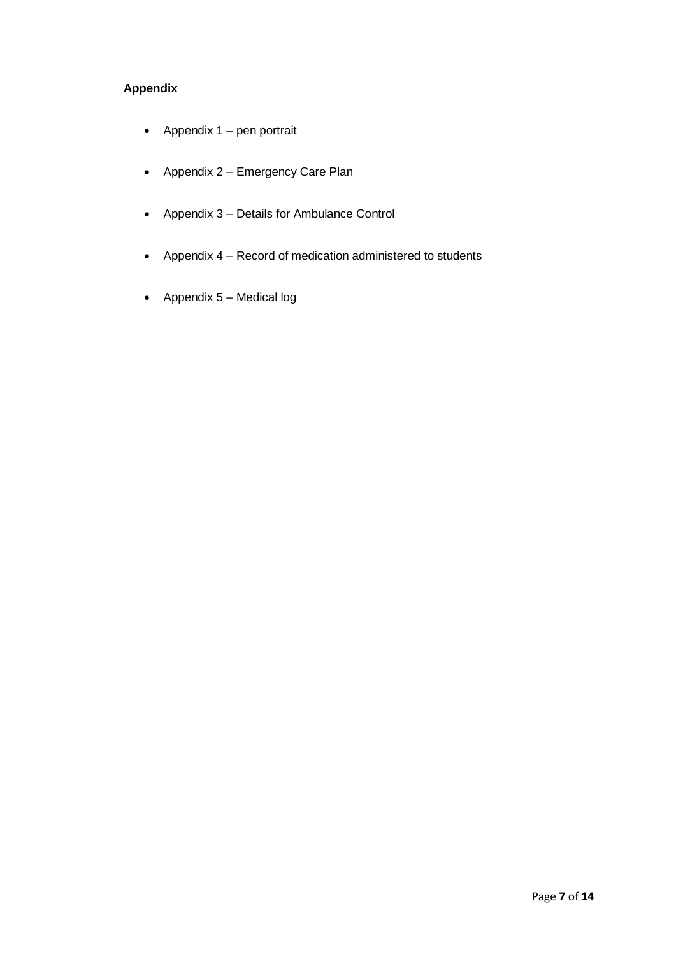## **Appendix**

- Appendix  $1$  pen portrait
- Appendix 2 Emergency Care Plan
- Appendix 3 Details for Ambulance Control
- Appendix 4 Record of medication administered to students
- Appendix  $5 -$  Medical log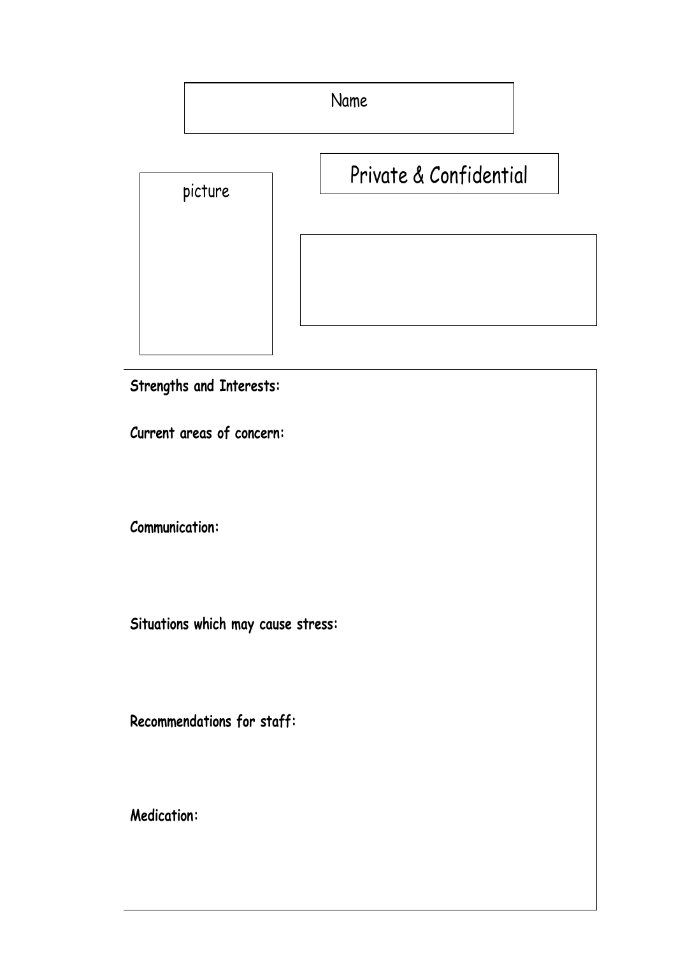Name

| picture                            | Private & Confidential |  |  |
|------------------------------------|------------------------|--|--|
|                                    |                        |  |  |
| Strengths and Interests:           |                        |  |  |
| Current areas of concern:          |                        |  |  |
| <b>Communication:</b>              |                        |  |  |
| Situations which may cause stress: |                        |  |  |
| Recommendations for staff:         |                        |  |  |
| <b>Medication:</b>                 |                        |  |  |
|                                    |                        |  |  |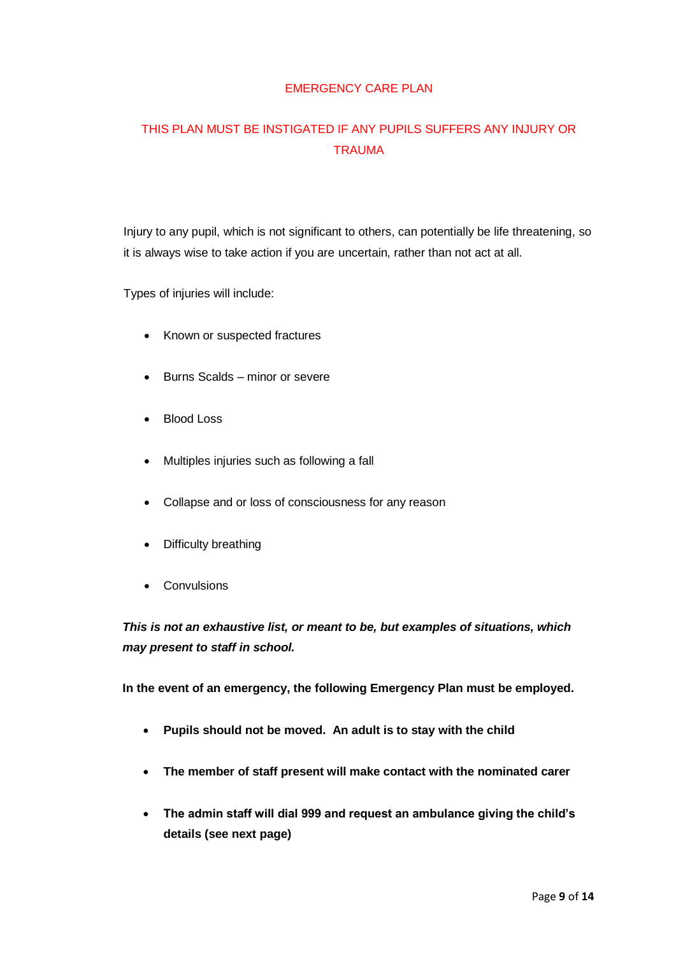## EMERGENCY CARE PLAN

# THIS PLAN MUST BE INSTIGATED IF ANY PUPILS SUFFERS ANY INJURY OR **TRAUMA**

Injury to any pupil, which is not significant to others, can potentially be life threatening, so it is always wise to take action if you are uncertain, rather than not act at all.

Types of injuries will include:

- Known or suspected fractures
- Burns Scalds minor or severe
- Blood Loss
- Multiples injuries such as following a fall
- Collapse and or loss of consciousness for any reason
- Difficulty breathing
- Convulsions

*This is not an exhaustive list, or meant to be, but examples of situations, which may present to staff in school.*

**In the event of an emergency, the following Emergency Plan must be employed.**

- **Pupils should not be moved. An adult is to stay with the child**
- **The member of staff present will make contact with the nominated carer**
- **The admin staff will dial 999 and request an ambulance giving the child's details (see next page)**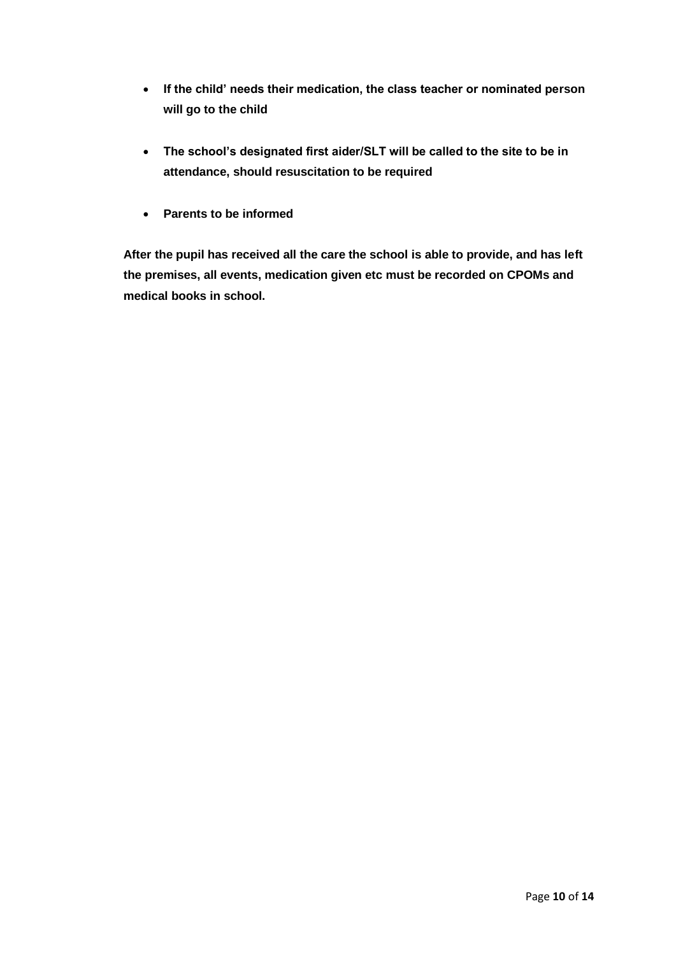- **If the child' needs their medication, the class teacher or nominated person will go to the child**
- **The school's designated first aider/SLT will be called to the site to be in attendance, should resuscitation to be required**
- **Parents to be informed**

**After the pupil has received all the care the school is able to provide, and has left the premises, all events, medication given etc must be recorded on CPOMs and medical books in school.**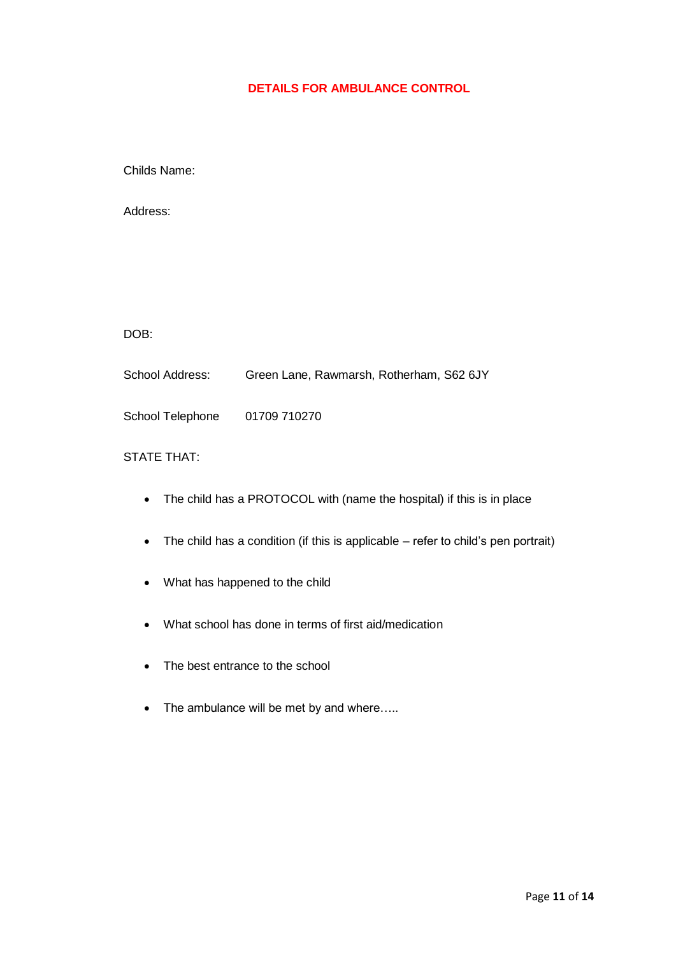## **DETAILS FOR AMBULANCE CONTROL**

Childs Name:

Address:

DOB:

School Address: Green Lane, Rawmarsh, Rotherham, S62 6JY

School Telephone 01709 710270

## STATE THAT:

- The child has a PROTOCOL with (name the hospital) if this is in place
- The child has a condition (if this is applicable refer to child's pen portrait)
- What has happened to the child
- What school has done in terms of first aid/medication
- The best entrance to the school
- The ambulance will be met by and where.....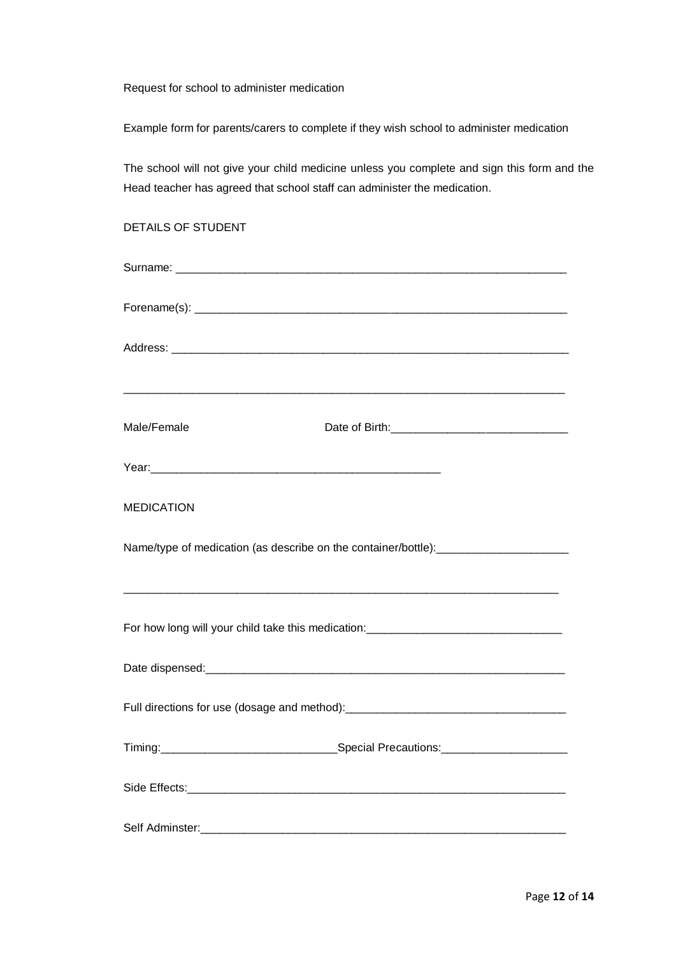Request for school to administer medication

Example form for parents/carers to complete if they wish school to administer medication

The school will not give your child medicine unless you complete and sign this form and the Head teacher has agreed that school staff can administer the medication.

| <b>DETAILS OF STUDENT</b>                                                                                             |                                                                                  |  |  |  |  |
|-----------------------------------------------------------------------------------------------------------------------|----------------------------------------------------------------------------------|--|--|--|--|
|                                                                                                                       |                                                                                  |  |  |  |  |
|                                                                                                                       |                                                                                  |  |  |  |  |
|                                                                                                                       |                                                                                  |  |  |  |  |
|                                                                                                                       |                                                                                  |  |  |  |  |
| Male/Female                                                                                                           |                                                                                  |  |  |  |  |
|                                                                                                                       |                                                                                  |  |  |  |  |
| <b>MEDICATION</b>                                                                                                     |                                                                                  |  |  |  |  |
|                                                                                                                       | Name/type of medication (as describe on the container/bottle):__________________ |  |  |  |  |
|                                                                                                                       | For how long will your child take this medication: _____________________________ |  |  |  |  |
|                                                                                                                       |                                                                                  |  |  |  |  |
|                                                                                                                       | Full directions for use (dosage and method): ___________________________________ |  |  |  |  |
|                                                                                                                       |                                                                                  |  |  |  |  |
|                                                                                                                       |                                                                                  |  |  |  |  |
| Self Adminster: <u>Communications</u> and Communications and Communications and Communications and Communications and |                                                                                  |  |  |  |  |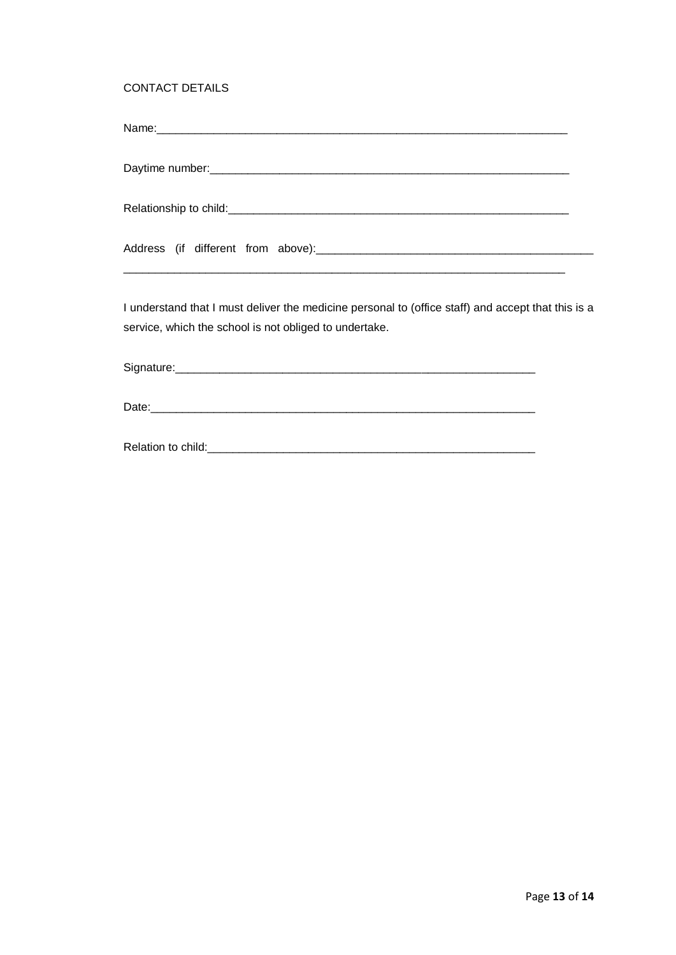## CONTACT DETAILS

| I understand that I must deliver the medicine personal to (office staff) and accept that this is a<br>service, which the school is not obliged to undertake. |  |
|--------------------------------------------------------------------------------------------------------------------------------------------------------------|--|
|                                                                                                                                                              |  |
|                                                                                                                                                              |  |
|                                                                                                                                                              |  |